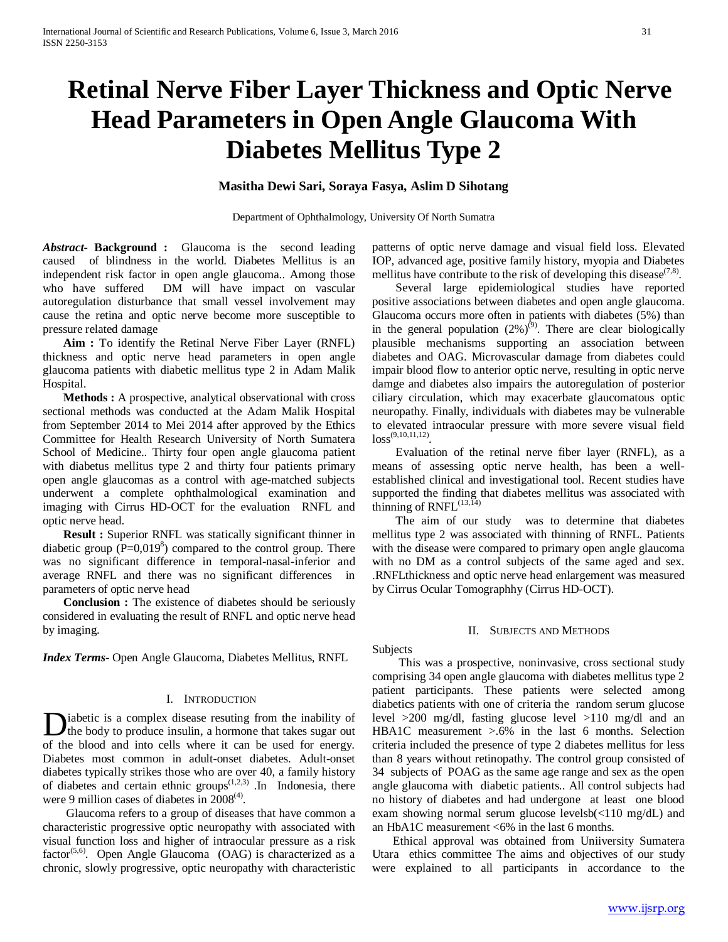# **Retinal Nerve Fiber Layer Thickness and Optic Nerve Head Parameters in Open Angle Glaucoma With Diabetes Mellitus Type 2**

# **Masitha Dewi Sari, Soraya Fasya, Aslim D Sihotang**

Department of Ophthalmology, University Of North Sumatra

*Abstract***- Background :** Glaucoma is the second leading caused of blindness in the world. Diabetes Mellitus is an independent risk factor in open angle glaucoma.. Among those who have suffered DM will have impact on vascular autoregulation disturbance that small vessel involvement may cause the retina and optic nerve become more susceptible to pressure related damage

 **Aim :** To identify the Retinal Nerve Fiber Layer (RNFL) thickness and optic nerve head parameters in open angle glaucoma patients with diabetic mellitus type 2 in Adam Malik Hospital.

 **Methods :** A prospective, analytical observational with cross sectional methods was conducted at the Adam Malik Hospital from September 2014 to Mei 2014 after approved by the Ethics Committee for Health Research University of North Sumatera School of Medicine.. Thirty four open angle glaucoma patient with diabetus mellitus type 2 and thirty four patients primary open angle glaucomas as a control with age-matched subjects underwent a complete ophthalmological examination and imaging with Cirrus HD-OCT for the evaluation RNFL and optic nerve head.

 **Result :** Superior RNFL was statically significant thinner in diabetic group  $(P=0,019<sup>8</sup>)$  compared to the control group. There was no significant difference in temporal-nasal-inferior and average RNFL and there was no significant differences in parameters of optic nerve head

 **Conclusion :** The existence of diabetes should be seriously considered in evaluating the result of RNFL and optic nerve head by imaging.

*Index Terms*- Open Angle Glaucoma, Diabetes Mellitus, RNFL

## I. INTRODUCTION

iabetic is a complex disease resuting from the inability of the body to produce insulin, a hormone that takes sugar out Diabetic is a complex disease resuting from the inability of the body to produce insulin, a hormone that takes sugar out of the blood and into cells where it can be used for energy. Diabetes most common in adult-onset diabetes. Adult-onset diabetes typically strikes those who are over 40, a family history of diabetes and certain ethnic groups<sup> $(1,2,3)$ </sup>. In Indonesia, there were 9 million cases of diabetes in  $2008^{(4)}$ .

 Glaucoma refers to a group of diseases that have common a characteristic progressive optic neuropathy with associated with visual function loss and higher of intraocular pressure as a risk factor<sup>(5,6)</sup>. Open Angle Glaucoma (OAG) is characterized as a chronic, slowly progressive, optic neuropathy with characteristic patterns of optic nerve damage and visual field loss. Elevated IOP, advanced age, positive family history, myopia and Diabetes mellitus have contribute to the risk of developing this disease<sup> $(7,8)$ </sup>.

 Several large epidemiological studies have reported positive associations between diabetes and open angle glaucoma. Glaucoma occurs more often in patients with diabetes (5%) than in the general population  $(2\%)^{(9)}$ . There are clear biologically plausible mechanisms supporting an association between diabetes and OAG. Microvascular damage from diabetes could impair blood flow to anterior optic nerve, resulting in optic nerve damge and diabetes also impairs the autoregulation of posterior ciliary circulation, which may exacerbate glaucomatous optic neuropathy. Finally, individuals with diabetes may be vulnerable to elevated intraocular pressure with more severe visual field  $loss^{(9,10,11,12)}$ 

 Evaluation of the retinal nerve fiber layer (RNFL), as a means of assessing optic nerve health, has been a wellestablished clinical and investigational tool. Recent studies have supported the finding that diabetes mellitus was associated with thinning of  $RNFL^{(13,\overline{14})}$ 

 The aim of our study was to determine that diabetes mellitus type 2 was associated with thinning of RNFL. Patients with the disease were compared to primary open angle glaucoma with no DM as a control subjects of the same aged and sex. .RNFLthickness and optic nerve head enlargement was measured by Cirrus Ocular Tomographhy (Cirrus HD-OCT).

## II. SUBJECTS AND METHODS

Subjects

 This was a prospective, noninvasive, cross sectional study comprising 34 open angle glaucoma with diabetes mellitus type 2 patient participants. These patients were selected among diabetics patients with one of criteria the random serum glucose level >200 mg/dl, fasting glucose level >110 mg/dl and an HBA1C measurement >.6% in the last 6 months. Selection criteria included the presence of type 2 diabetes mellitus for less than 8 years without retinopathy. The control group consisted of 34 subjects of POAG as the same age range and sex as the open angle glaucoma with diabetic patients.. All control subjects had no history of diabetes and had undergone at least one blood exam showing normal serum glucose levelsb(<110 mg/dL) and an HbA1C measurement <6% in the last 6 months.

 Ethical approval was obtained from Uniiversity Sumatera Utara ethics committee The aims and objectives of our study were explained to all participants in accordance to the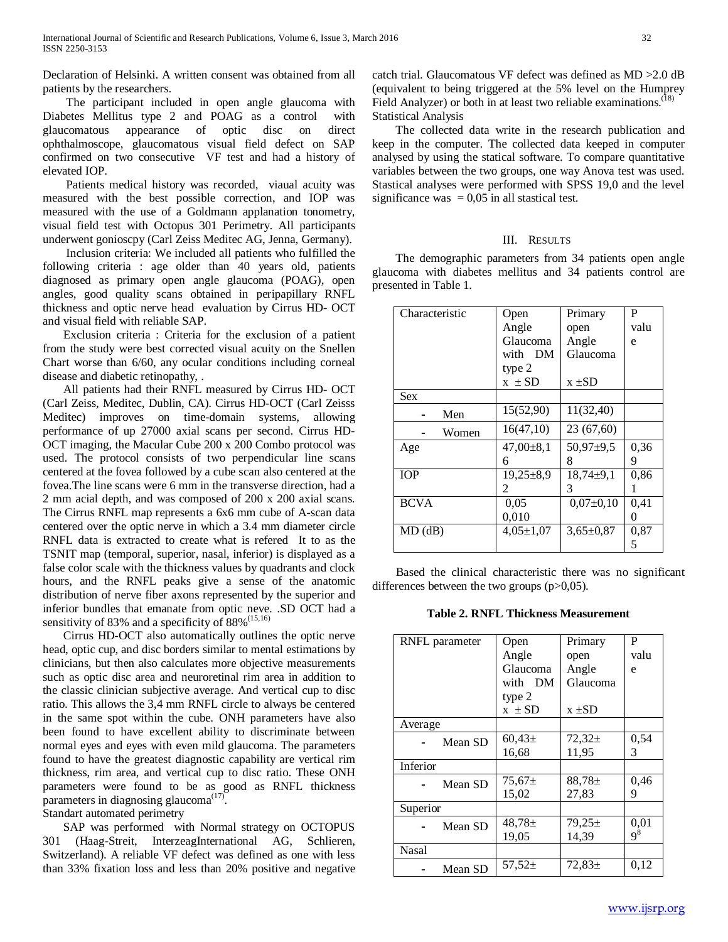Declaration of Helsinki. A written consent was obtained from all patients by the researchers.

 The participant included in open angle glaucoma with Diabetes Mellitus type 2 and POAG as a control with glaucomatous appearance of optic disc on direct ophthalmoscope, glaucomatous visual field defect on SAP confirmed on two consecutive VF test and had a history of elevated IOP.

 Patients medical history was recorded, viaual acuity was measured with the best possible correction, and IOP was measured with the use of a Goldmann applanation tonometry, visual field test with Octopus 301 Perimetry. All participants underwent gonioscpy (Carl Zeiss Meditec AG, Jenna, Germany).

 Inclusion criteria: We included all patients who fulfilled the following criteria : age older than 40 years old, patients diagnosed as primary open angle glaucoma (POAG), open angles, good quality scans obtained in peripapillary RNFL thickness and optic nerve head evaluation by Cirrus HD- OCT and visual field with reliable SAP.

 Exclusion criteria : Criteria for the exclusion of a patient from the study were best corrected visual acuity on the Snellen Chart worse than 6/60, any ocular conditions including corneal disease and diabetic retinopathy, .

 All patients had their RNFL measured by Cirrus HD- OCT (Carl Zeiss, Meditec, Dublin, CA). Cirrus HD-OCT (Carl Zeisss Meditec) improves on time-domain systems, allowing performance of up 27000 axial scans per second. Cirrus HD-OCT imaging, the Macular Cube 200 x 200 Combo protocol was used. The protocol consists of two perpendicular line scans centered at the fovea followed by a cube scan also centered at the fovea.The line scans were 6 mm in the transverse direction, had a 2 mm acial depth, and was composed of 200 x 200 axial scans. The Cirrus RNFL map represents a 6x6 mm cube of A-scan data centered over the optic nerve in which a 3.4 mm diameter circle RNFL data is extracted to create what is refered It to as the TSNIT map (temporal, superior, nasal, inferior) is displayed as a false color scale with the thickness values by quadrants and clock hours, and the RNFL peaks give a sense of the anatomic distribution of nerve fiber axons represented by the superior and inferior bundles that emanate from optic neve. .SD OCT had a sensitivity of 83% and a specificity of 88%<sup>(15,16)</sup>

 Cirrus HD-OCT also automatically outlines the optic nerve head, optic cup, and disc borders similar to mental estimations by clinicians, but then also calculates more objective measurements such as optic disc area and neuroretinal rim area in addition to the classic clinician subjective average. And vertical cup to disc ratio. This allows the 3,4 mm RNFL circle to always be centered in the same spot within the cube. ONH parameters have also been found to have excellent ability to discriminate between normal eyes and eyes with even mild glaucoma. The parameters found to have the greatest diagnostic capability are vertical rim thickness, rim area, and vertical cup to disc ratio. These ONH parameters were found to be as good as RNFL thickness parameters in diagnosing glaucoma<sup> $(17)$ </sup>.

Standart automated perimetry

 SAP was performed with Normal strategy on OCTOPUS 301 (Haag-Streit, InterzeagInternational AG, Schlieren, Switzerland). A reliable VF defect was defined as one with less than 33% fixation loss and less than 20% positive and negative catch trial. Glaucomatous VF defect was defined as MD >2.0 dB (equivalent to being triggered at the 5% level on the Humprey Field Analyzer) or both in at least two reliable examinations.<sup>(18)</sup> Statistical Analysis

 The collected data write in the research publication and keep in the computer. The collected data keeped in computer analysed by using the statical software. To compare quantitative variables between the two groups, one way Anova test was used. Stastical analyses were performed with SPSS 19,0 and the level significance was  $= 0.05$  in all stastical test.

# III. RESULTS

 The demographic parameters from 34 patients open angle glaucoma with diabetes mellitus and 34 patients control are presented in Table 1.

| Characteristic | Open            | Primary         | P    |
|----------------|-----------------|-----------------|------|
|                | Angle           | open            | valu |
|                | Glaucoma        | Angle           | e    |
|                | with DM         | Glaucoma        |      |
|                | type 2          |                 |      |
|                | $x \pm SD$      | $x \pm SD$      |      |
| Sex            |                 |                 |      |
| Men            | 15(52,90)       | 11(32,40)       |      |
| Women          | 16(47,10)       | 23 (67,60)      |      |
| Age            | $47,00\pm8,1$   | $50,97+9,5$     | 0,36 |
|                | 6               | 8               | 9    |
| <b>TOP</b>     | $19,25+8,9$     | $18,74\pm9,1$   | 0,86 |
|                | 2               | 3               | 1    |
| <b>BCVA</b>    | 0,05            | $0,07\pm0,10$   | 0,41 |
|                | 0,010           |                 | 0    |
| $MD$ (dB)      | $4,05 \pm 1,07$ | $3,65 \pm 0.87$ | 0,87 |
|                |                 |                 | 5    |

 Based the clinical characteristic there was no significant differences between the two groups (p>0,05).

**Table 2. RNFL Thickness Measurement**

| RNFL parameter | <b>Open</b> | Primary     | P     |
|----------------|-------------|-------------|-------|
|                | Angle       | open        | valu  |
|                |             |             |       |
|                | Glaucoma    | Angle       | e     |
|                | with DM     | Glaucoma    |       |
|                | type 2      |             |       |
|                | $x \pm SD$  | $x \pm SD$  |       |
| Average        |             |             |       |
| Mean SD        | $60.43 \pm$ | $72.32 \pm$ | 0,54  |
|                | 16,68       | 11,95       | 3     |
| Inferior       |             |             |       |
| Mean SD        | $75.67 \pm$ | $88,78 \pm$ | 0,46  |
|                | 15,02       | 27,83       | 9     |
| Superior       |             |             |       |
| Mean SD        | $48.78 \pm$ | $79,25 \pm$ | 0,01  |
|                | 19,05       | 14,39       | $9^8$ |
| <b>Nasal</b>   |             |             |       |
| Mean SD        | 57.52 $\pm$ | $72.83 \pm$ | 0.12  |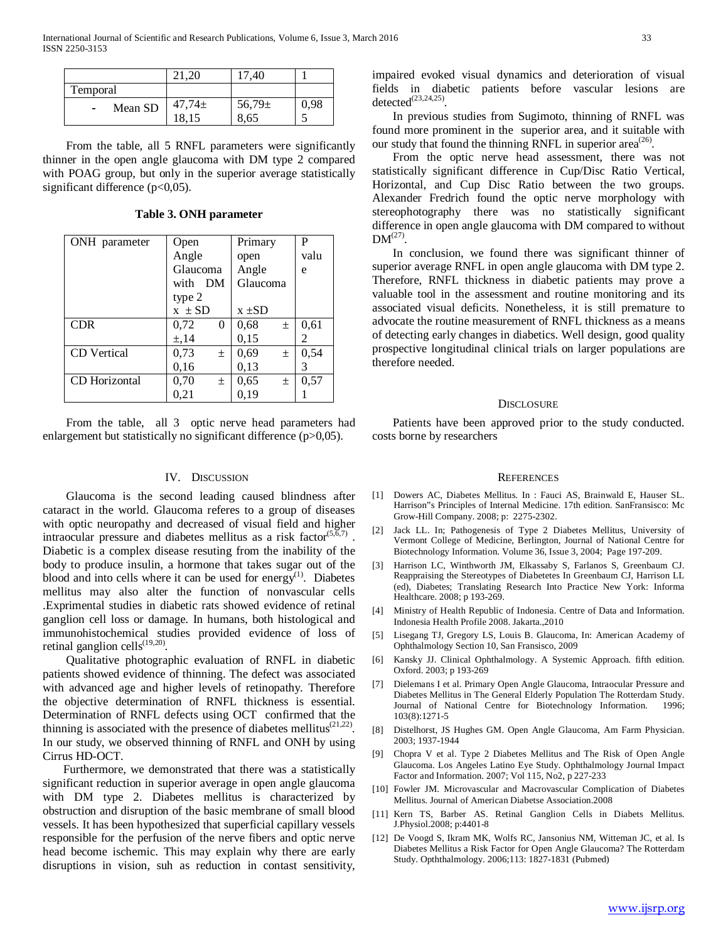|                   |             | 40         |      |
|-------------------|-------------|------------|------|
| Temporal          |             |            |      |
| Mean SD<br>$\sim$ | $47,74 \pm$ | $56,79\pm$ | 0.98 |
|                   | 18,15       | 8,65       |      |

 From the table, all 5 RNFL parameters were significantly thinner in the open angle glaucoma with DM type 2 compared with POAG group, but only in the superior average statistically significant difference (p<0,05).

**Table 3. ONH parameter**

| ONH parameter      | Open          | Primary       | P    |
|--------------------|---------------|---------------|------|
|                    | Angle         | open          | valu |
|                    | Glaucoma      | Angle         | e    |
|                    | with DM       | Glaucoma      |      |
|                    | type 2        |               |      |
|                    | $x \pm SD$    | $x \pm SD$    |      |
| <b>CDR</b>         | 0,72<br>0     | 0,68<br>$\pm$ | 0,61 |
|                    | $\pm$ , 14    | 0,15          | 2    |
| <b>CD</b> Vertical | 0,73<br>$\pm$ | 0,69<br>$\pm$ | 0,54 |
|                    | 0,16          | 0,13          | 3    |
| CD Horizontal      | 0,70<br>$\pm$ | 0,65<br>$\pm$ | 0,57 |
|                    | 0,21          | 0.19          |      |

 From the table, all 3 optic nerve head parameters had enlargement but statistically no significant difference (p>0,05).

# IV. DISCUSSION

 Glaucoma is the second leading caused blindness after cataract in the world. Glaucoma referes to a group of diseases with optic neuropathy and decreased of visual field and higher intraocular pressure and diabetes mellitus as a risk factor $(5,6,7)$ . Diabetic is a complex disease resuting from the inability of the body to produce insulin, a hormone that takes sugar out of the blood and into cells where it can be used for energy<sup>(1)</sup>. Diabetes mellitus may also alter the function of nonvascular cells .Exprimental studies in diabetic rats showed evidence of retinal ganglion cell loss or damage. In humans, both histological and immunohistochemical studies provided evidence of loss of retinal ganglion cells<sup>(19,20)</sup>.

 Qualitative photographic evaluation of RNFL in diabetic patients showed evidence of thinning. The defect was associated with advanced age and higher levels of retinopathy. Therefore the objective determination of RNFL thickness is essential. Determination of RNFL defects using OCT confirmed that the thinning is associated with the presence of diabetes mellitus $(21,22)$ . In our study, we observed thinning of RNFL and ONH by using Cirrus HD-OCT.

 Furthermore, we demonstrated that there was a statistically significant reduction in superior average in open angle glaucoma with DM type 2. Diabetes mellitus is characterized by obstruction and disruption of the basic membrane of small blood vessels. It has been hypothesized that superficial capillary vessels responsible for the perfusion of the nerve fibers and optic nerve head become ischemic. This may explain why there are early disruptions in vision, suh as reduction in contast sensitivity,

impaired evoked visual dynamics and deterioration of visual fields in diabetic patients before vascular lesions are  $detected^{(23,24,25)}$ 

 In previous studies from Sugimoto, thinning of RNFL was found more prominent in the superior area, and it suitable with our study that found the thinning RNFL in superior area<sup> $(26)$ </sup>.

 From the optic nerve head assessment, there was not statistically significant difference in Cup/Disc Ratio Vertical, Horizontal, and Cup Disc Ratio between the two groups. Alexander Fredrich found the optic nerve morphology with stereophotography there was no statistically significant difference in open angle glaucoma with DM compared to without  $DM^{(27)}$ .

 In conclusion, we found there was significant thinner of superior average RNFL in open angle glaucoma with DM type 2. Therefore, RNFL thickness in diabetic patients may prove a valuable tool in the assessment and routine monitoring and its associated visual deficits. Nonetheless, it is still premature to advocate the routine measurement of RNFL thickness as a means of detecting early changes in diabetics. Well design, good quality prospective longitudinal clinical trials on larger populations are therefore needed.

#### **DISCLOSURE**

 Patients have been approved prior to the study conducted. costs borne by researchers

#### **REFERENCES**

- [1] Dowers AC, Diabetes Mellitus. In : Fauci AS, Brainwald E, Hauser SL. Harrison"s Principles of Internal Medicine. 17th edition. SanFransisco: Mc Grow-Hill Company. 2008; p: 2275-2302.
- [2] Jack LL. In; Pathogenesis of Type 2 Diabetes Mellitus, University of Vermont College of Medicine, Berlington, Journal of National Centre for Biotechnology Information. Volume 36, Issue 3, 2004; Page 197-209.
- [3] Harrison LC, Winthworth JM, Elkassaby S, Farlanos S, Greenbaum CJ. Reappraising the Stereotypes of Diabetetes In Greenbaum CJ, Harrison LL (ed), Diabetes; Translating Research Into Practice New York: Informa Healthcare. 2008; p 193-269.
- [4] Ministry of Health Republic of Indonesia. Centre of Data and Information. Indonesia Health Profile 2008. Jakarta.,2010
- [5] Lisegang TJ, Gregory LS, Louis B. Glaucoma, In: American Academy of Ophthalmology Section 10, San Fransisco, 2009
- [6] Kansky JJ. Clinical Ophthalmology. A Systemic Approach. fifth edition. Oxford. 2003; p 193-269
- [7] Dielemans I et al. Primary Open Angle Glaucoma, Intraocular Pressure and Diabetes Mellitus in The General Elderly Population The Rotterdam Study. Journal of National Centre for Biotechnology Information. 1996; 103(8):1271-5
- [8] Distelhorst, JS Hughes GM. Open Angle Glaucoma, Am Farm Physician. 2003; 1937-1944
- [9] Chopra V et al. Type 2 Diabetes Mellitus and The Risk of Open Angle Glaucoma. Los Angeles Latino Eye Study. Ophthalmology Journal Impact Factor and Information. 2007; Vol 115, No2, p 227-233
- [10] Fowler JM. Microvascular and Macrovascular Complication of Diabetes Mellitus. Journal of American Diabetse Association.2008
- [11] Kern TS, Barber AS. Retinal Ganglion Cells in Diabets Mellitus. J.Physiol.2008; p:4401-8
- [12] De Voogd S, Ikram MK, Wolfs RC, Jansonius NM, Witteman JC, et al. Is Diabetes Mellitus a Risk Factor for Open Angle Glaucoma? The Rotterdam Study. Opththalmology. 2006;113: 1827-1831 (Pubmed)